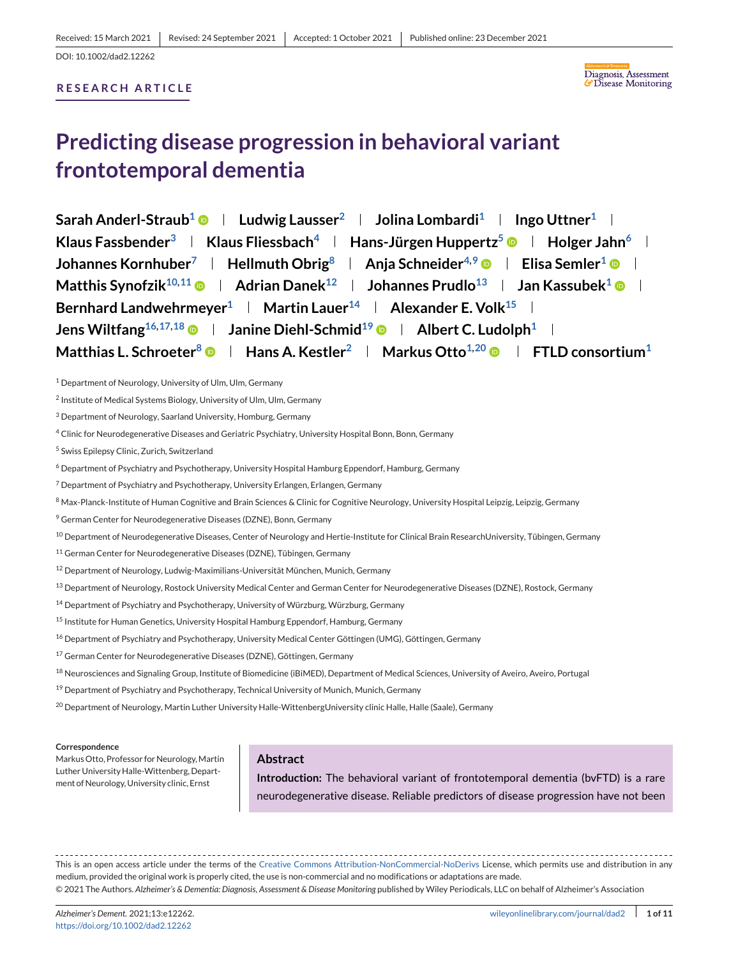# **RESEARCH ARTICLE**



# **Predicting disease progression in behavioral variant frontotemporal dementia**

**Sarah Anderl-Straub<sup>1</sup> • Ludwig Lausser<sup>2</sup> b Jolina Lombardi<sup>1</sup> b Ingo Uttner<sup>1</sup> b Klaus Fassbender<sup>3</sup> | Klaus Fliessbach<sup>4</sup> | Hans-Jürgen Huppertz<sup>5</sup>**  $\bullet$  **| Holger Jahn<sup>6</sup> | Johannes Kornhuber**<sup>7</sup> **Hellmuth Obrig<sup>8</sup> | Ania Schneider<sup>4,9</sup> | Elisa Semler<sup>1</sup> | Elisa Semler<sup>1</sup> | Elisa Semler<sup>1</sup> | Elisa Semler<sup>1</sup> | Elisa Semler<sup>1</sup> | Elisa Semler<sup>1</sup> | Elisa Semler<sup>1</sup> | Elisa Semler<sup>1</sup> | Elisa Semle Matthis Synofzik**<sup>10,11</sup>  $\bullet$  | Adrian Danek<sup>12</sup> | Johannes Prudlo<sup>13</sup> | Jan Kassubek<sup>1</sup>  $\bullet$  | **Bernhard Landwehrmeyer**<sup>1</sup> | Martin Lauer<sup>14</sup> | Alexander E. Volk<sup>15</sup> | **Jens Wiltfang**<sup>16,17,18</sup> **D Also I** Janine Diehl-Schmid<sup>19</sup> **D Albert C. Ludolph**<sup>1</sup> **Matthias L. Schroeter<sup>8</sup>**  $\bullet$  **| Hans A. Kestler<sup>2</sup> | Markus Otto<sup>1,20</sup>**  $\bullet$  **| FTLD consortium<sup>1</sup>** 

- <sup>2</sup> Institute of Medical Systems Biology, University of Ulm, Ulm, Germany
- <sup>3</sup> Department of Neurology, Saarland University, Homburg, Germany
- <sup>4</sup> Clinic for Neurodegenerative Diseases and Geriatric Psychiatry, University Hospital Bonn, Bonn, Germany
- <sup>5</sup> Swiss Epilepsy Clinic, Zurich, Switzerland
- <sup>6</sup> Department of Psychiatry and Psychotherapy, University Hospital Hamburg Eppendorf, Hamburg, Germany
- <sup>7</sup> Department of Psychiatry and Psychotherapy, University Erlangen, Erlangen, Germany
- 8 Max-Planck-Institute of Human Cognitive and Brain Sciences & Clinic for Cognitive Neurology, University Hospital Leipzig, Leipzig, Germany
- <sup>9</sup> German Center for Neurodegenerative Diseases (DZNE), Bonn, Germany
- <sup>10</sup> Department of Neurodegenerative Diseases, Center of Neurology and Hertie-Institute for Clinical Brain ResearchUniversity, Tübingen, Germany
- <sup>11</sup> German Center for Neurodegenerative Diseases (DZNE), Tübingen, Germany
- <sup>12</sup> Department of Neurology, Ludwig-Maximilians-Universität München, Munich, Germany
- 13 Department of Neurology, Rostock University Medical Center and German Center for Neurodegenerative Diseases (DZNE), Rostock, Germany
- <sup>14</sup> Department of Psychiatry and Psychotherapy, University of Würzburg, Würzburg, Germany
- <sup>15</sup> Institute for Human Genetics, University Hospital Hamburg Eppendorf, Hamburg, Germany
- <sup>16</sup> Department of Psychiatry and Psychotherapy, University Medical Center Göttingen (UMG), Göttingen, Germany
- <sup>17</sup> German Center for Neurodegenerative Diseases (DZNE), Göttingen, Germany
- 18 Neurosciences and Signaling Group, Institute of Biomedicine (iBiMED), Department of Medical Sciences, University of Aveiro, Aveiro, Portugal
- <sup>19</sup> Department of Psychiatry and Psychotherapy, Technical University of Munich, Munich, Germany
- <sup>20</sup> Department of Neurology, Martin Luther University Halle-WittenbergUniversity clinic Halle, Halle (Saale), Germany

#### **Correspondence**

Markus Otto, Professor for Neurology, Martin Luther University Halle-Wittenberg, Department of Neurology, University clinic, Ernst

#### **Abstract**

**Introduction:** The behavioral variant of frontotemporal dementia (bvFTD) is a rare neurodegenerative disease. Reliable predictors of disease progression have not been

This is an open access article under the terms of the [Creative Commons Attribution-NonCommercial-NoDerivs](http://creativecommons.org/licenses/by-nc-nd/4.0/) License, which permits use and distribution in any medium, provided the original work is properly cited, the use is non-commercial and no modifications or adaptations are made. © 2021 The Authors. *Alzheimer's & Dementia: Diagnosis, Assessment & Disease Monitoring* published by Wiley Periodicals, LLC on behalf of Alzheimer's Association

<sup>1</sup> Department of Neurology, University of Ulm, Ulm, Germany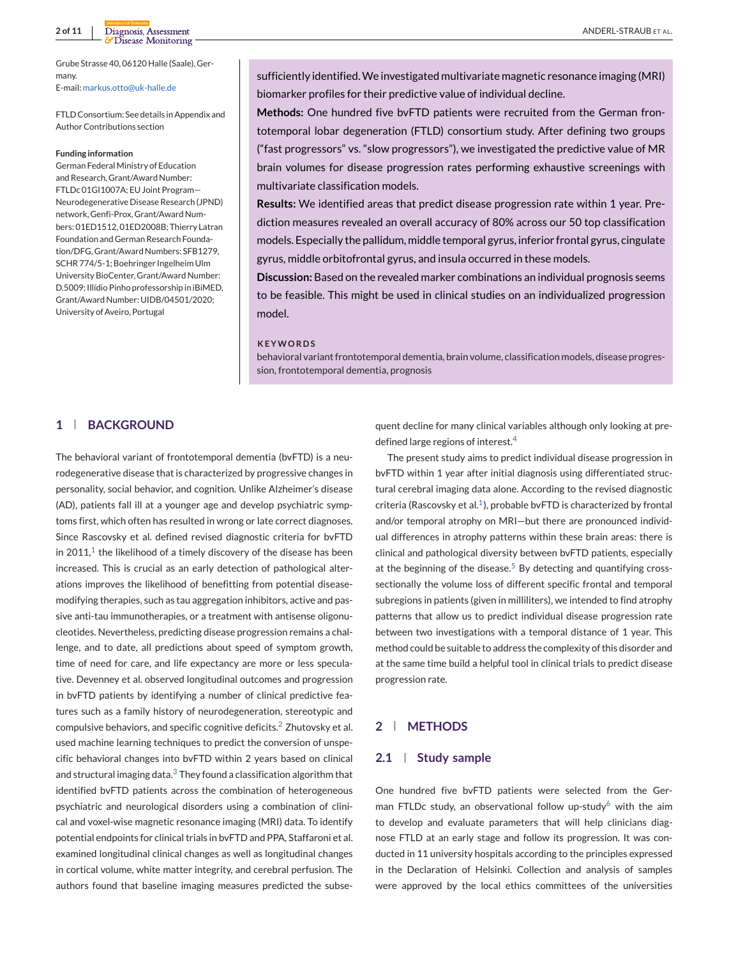Grube Strasse 40, 06120 Halle (Saale), Germany.

E-mail: [markus.otto@uk-halle.de](mailto:markus.otto@uk-halle.de)

FTLD Consortium: See details in Appendix and Author Contributions section

#### **Funding information**

German Federal Ministry of Education and Research, Grant/Award Number: FTLDc 01GI1007A; EU Joint Program— Neurodegenerative Disease Research (JPND) network, Genfi-Prox, Grant/Award Numbers: 01ED1512, 01ED2008B; Thierry Latran Foundation and German Research Foundation/DFG, Grant/Award Numbers: SFB1279, SCHR 774/5-1; Boehringer Ingelheim Ulm University BioCenter, Grant/Award Number: D.5009; Illídio Pinho professorship in iBiMED, Grant/Award Number: UIDB/04501/2020; University of Aveiro, Portugal

sufficiently identified.We investigated multivariate magnetic resonance imaging (MRI) biomarker profiles for their predictive value of individual decline.

**Methods:** One hundred five bvFTD patients were recruited from the German frontotemporal lobar degeneration (FTLD) consortium study. After defining two groups ("fast progressors" vs. "slow progressors"), we investigated the predictive value of MR brain volumes for disease progression rates performing exhaustive screenings with multivariate classification models.

**Results:** We identified areas that predict disease progression rate within 1 year. Prediction measures revealed an overall accuracy of 80% across our 50 top classification models. Especially the pallidum, middle temporal gyrus, inferior frontal gyrus, cingulate gyrus, middle orbitofrontal gyrus, and insula occurred in these models.

**Discussion:** Based on the revealed marker combinations an individual prognosis seems to be feasible. This might be used in clinical studies on an individualized progression model.

# **KEYWORDS**

behavioral variant frontotemporal dementia, brain volume, classification models, disease progression, frontotemporal dementia, prognosis

# **1 BACKGROUND**

The behavioral variant of frontotemporal dementia (bvFTD) is a neurodegenerative disease that is characterized by progressive changes in personality, social behavior, and cognition. Unlike Alzheimer's disease (AD), patients fall ill at a younger age and develop psychiatric symptoms first, which often has resulted in wrong or late correct diagnoses. Since Rascovsky et al. defined revised diagnostic criteria for bvFTD in 20[1](#page-9-0)1, $1$  the likelihood of a timely discovery of the disease has been increased. This is crucial as an early detection of pathological alterations improves the likelihood of benefitting from potential diseasemodifying therapies, such as tau aggregation inhibitors, active and passive anti-tau immunotherapies, or a treatment with antisense oligonucleotides. Nevertheless, predicting disease progression remains a challenge, and to date, all predictions about speed of symptom growth, time of need for care, and life expectancy are more or less speculative. Devenney et al. observed longitudinal outcomes and progression in bvFTD patients by identifying a number of clinical predictive features such as a family history of neurodegeneration, stereotypic and compulsive behaviors, and specific cognitive deficits. $2$  Zhutovsky et al. used machine learning techniques to predict the conversion of unspecific behavioral changes into bvFTD within 2 years based on clinical and structural imaging data. $3$  They found a classification algorithm that identified bvFTD patients across the combination of heterogeneous psychiatric and neurological disorders using a combination of clinical and voxel-wise magnetic resonance imaging (MRI) data. To identify potential endpoints for clinical trials in bvFTD and PPA, Staffaroni et al. examined longitudinal clinical changes as well as longitudinal changes in cortical volume, white matter integrity, and cerebral perfusion. The authors found that baseline imaging measures predicted the subsequent decline for many clinical variables although only looking at pre-defined large regions of interest.<sup>[4](#page-9-0)</sup>

The present study aims to predict individual disease progression in bvFTD within 1 year after initial diagnosis using differentiated structural cerebral imaging data alone. According to the revised diagnostic criteria (Rascovsky et al.<sup>1</sup>), probable bvFTD is characterized by frontal and/or temporal atrophy on MRI—but there are pronounced individual differences in atrophy patterns within these brain areas: there is clinical and pathological diversity between bvFTD patients, especially at the beginning of the disease.<sup>[5](#page-9-0)</sup> By detecting and quantifying crosssectionally the volume loss of different specific frontal and temporal subregions in patients (given in milliliters), we intended to find atrophy patterns that allow us to predict individual disease progression rate between two investigations with a temporal distance of 1 year. This method could be suitable to address the complexity of this disorder and at the same time build a helpful tool in clinical trials to predict disease progression rate.

# **2 METHODS**

# **2.1 Study sample**

One hundred five bvFTD patients were selected from the Ger-man FTLDc study, an observational follow up-study<sup>[6](#page-9-0)</sup> with the aim to develop and evaluate parameters that will help clinicians diagnose FTLD at an early stage and follow its progression. It was conducted in 11 university hospitals according to the principles expressed in the Declaration of Helsinki. Collection and analysis of samples were approved by the local ethics committees of the universities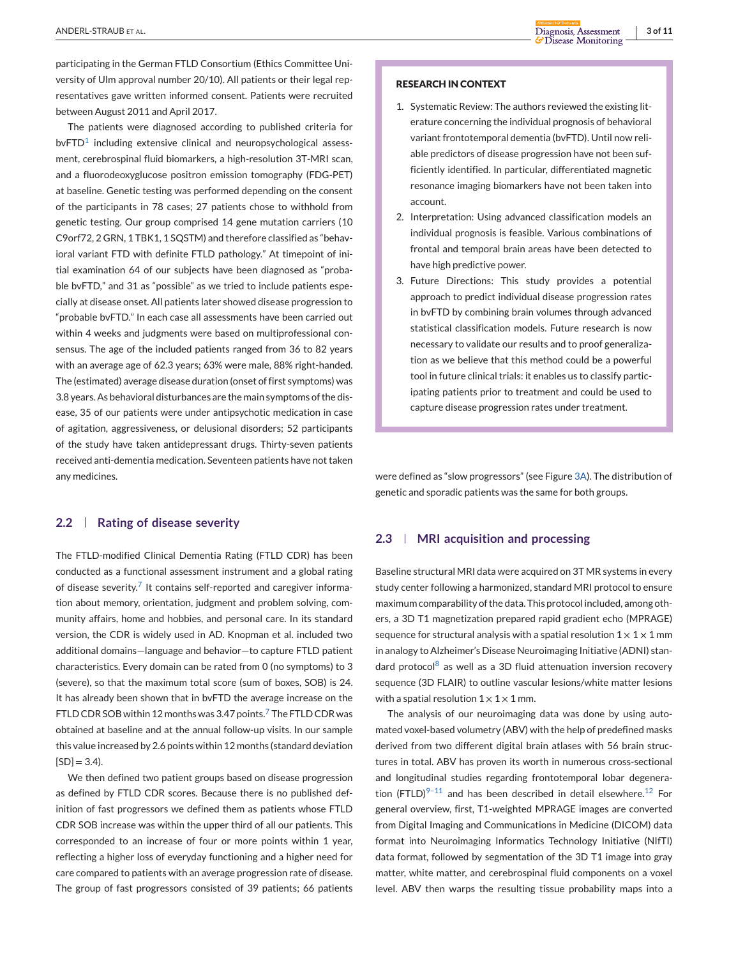participating in the German FTLD Consortium (Ethics Committee University of Ulm approval number 20/10). All patients or their legal representatives gave written informed consent. Patients were recruited between August 2011 and April 2017.

The patients were diagnosed according to published criteria for bv $FTD<sup>1</sup>$  $FTD<sup>1</sup>$  $FTD<sup>1</sup>$  including extensive clinical and neuropsychological assessment, cerebrospinal fluid biomarkers, a high-resolution 3T-MRI scan, and a fluorodeoxyglucose positron emission tomography (FDG-PET) at baseline. Genetic testing was performed depending on the consent of the participants in 78 cases; 27 patients chose to withhold from genetic testing. Our group comprised 14 gene mutation carriers (10 C9orf72, 2 GRN, 1 TBK1, 1 SQSTM) and therefore classified as "behavioral variant FTD with definite FTLD pathology." At timepoint of initial examination 64 of our subjects have been diagnosed as "probable bvFTD," and 31 as "possible" as we tried to include patients especially at disease onset. All patients later showed disease progression to "probable bvFTD." In each case all assessments have been carried out within 4 weeks and judgments were based on multiprofessional consensus. The age of the included patients ranged from 36 to 82 years with an average age of 62.3 years; 63% were male, 88% right-handed. The (estimated) average disease duration (onset of first symptoms) was 3.8 years. As behavioral disturbances are the main symptoms of the disease, 35 of our patients were under antipsychotic medication in case of agitation, aggressiveness, or delusional disorders; 52 participants of the study have taken antidepressant drugs. Thirty-seven patients received anti-dementia medication. Seventeen patients have not taken any medicines.

# **2.2 Rating of disease severity**

The FTLD-modified Clinical Dementia Rating (FTLD CDR) has been conducted as a functional assessment instrument and a global rating of disease severity.<sup>[7](#page-9-0)</sup> It contains self-reported and caregiver information about memory, orientation, judgment and problem solving, community affairs, home and hobbies, and personal care. In its standard version, the CDR is widely used in AD. Knopman et al. included two additional domains—language and behavior—to capture FTLD patient characteristics. Every domain can be rated from 0 (no symptoms) to 3 (severe), so that the maximum total score (sum of boxes, SOB) is 24. It has already been shown that in bvFTD the average increase on the FTLD CDR SOB within 12 months was 3.4[7](#page-9-0) points.<sup>7</sup> The FTLD CDR was obtained at baseline and at the annual follow-up visits. In our sample this value increased by 2.6 points within 12 months (standard deviation  $[SD] = 3.4$ ).

We then defined two patient groups based on disease progression as defined by FTLD CDR scores. Because there is no published definition of fast progressors we defined them as patients whose FTLD CDR SOB increase was within the upper third of all our patients. This corresponded to an increase of four or more points within 1 year, reflecting a higher loss of everyday functioning and a higher need for care compared to patients with an average progression rate of disease. The group of fast progressors consisted of 39 patients; 66 patients

#### **RESEARCH IN CONTEXT**

- 1. Systematic Review: The authors reviewed the existing literature concerning the individual prognosis of behavioral variant frontotemporal dementia (bvFTD). Until now reliable predictors of disease progression have not been sufficiently identified. In particular, differentiated magnetic resonance imaging biomarkers have not been taken into account.
- 2. Interpretation: Using advanced classification models an individual prognosis is feasible. Various combinations of frontal and temporal brain areas have been detected to have high predictive power.
- 3. Future Directions: This study provides a potential approach to predict individual disease progression rates in bvFTD by combining brain volumes through advanced statistical classification models. Future research is now necessary to validate our results and to proof generalization as we believe that this method could be a powerful tool in future clinical trials: it enables us to classify participating patients prior to treatment and could be used to capture disease progression rates under treatment.

were defined as "slow progressors" (see Figure [3A\)](#page-7-0). The distribution of genetic and sporadic patients was the same for both groups.

# **2.3 MRI acquisition and processing**

Baseline structural MRI data were acquired on 3T MR systems in every study center following a harmonized, standard MRI protocol to ensure maximum comparability of the data. This protocol included, among others, a 3D T1 magnetization prepared rapid gradient echo (MPRAGE) sequence for structural analysis with a spatial resolution  $1 \times 1 \times 1$  mm in analogy to Alzheimer's Disease Neuroimaging Initiative (ADNI) stan-dard protocol<sup>[8](#page-9-0)</sup> as well as a 3D fluid attenuation inversion recovery sequence (3D FLAIR) to outline vascular lesions/white matter lesions with a spatial resolution  $1 \times 1 \times 1$  mm.

The analysis of our neuroimaging data was done by using automated voxel-based volumetry (ABV) with the help of predefined masks derived from two different digital brain atlases with 56 brain structures in total. ABV has proven its worth in numerous cross-sectional and longitudinal studies regarding frontotemporal lobar degeneration (FTLD) $9-11$  and has been described in detail elsewhere.<sup>[12](#page-9-0)</sup> For general overview, first, T1-weighted MPRAGE images are converted from Digital Imaging and Communications in Medicine (DICOM) data format into Neuroimaging Informatics Technology Initiative (NIfTI) data format, followed by segmentation of the 3D T1 image into gray matter, white matter, and cerebrospinal fluid components on a voxel level. ABV then warps the resulting tissue probability maps into a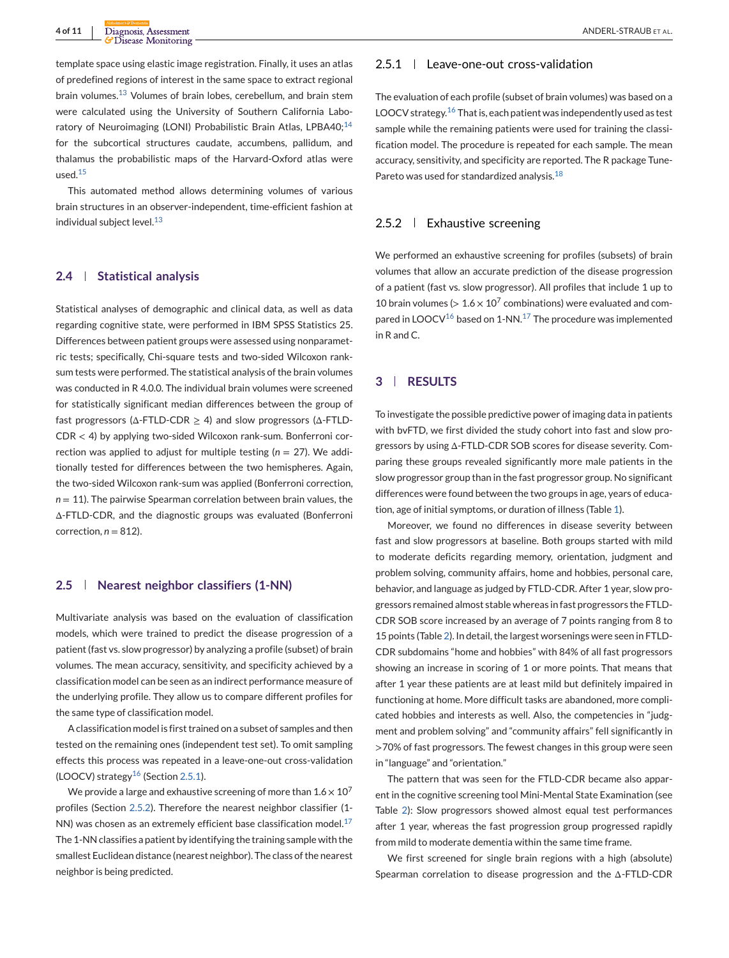template space using elastic image registration. Finally, it uses an atlas of predefined regions of interest in the same space to extract regional brain volumes.<sup>[13](#page-9-0)</sup> Volumes of brain lobes, cerebellum, and brain stem were calculated using the University of Southern California Labo-ratory of Neuroimaging (LONI) Probabilistic Brain Atlas, LPBA40;<sup>[14](#page-9-0)</sup> for the subcortical structures caudate, accumbens, pallidum, and thalamus the probabilistic maps of the Harvard-Oxford atlas were used.[15](#page-9-0)

This automated method allows determining volumes of various brain structures in an observer-independent, time-efficient fashion at individual subject level. $13$ 

# **2.4 Statistical analysis**

Statistical analyses of demographic and clinical data, as well as data regarding cognitive state, were performed in IBM SPSS Statistics 25. Differences between patient groups were assessed using nonparametric tests; specifically, Chi-square tests and two-sided Wilcoxon ranksum tests were performed. The statistical analysis of the brain volumes was conducted in R 4.0.0. The individual brain volumes were screened for statistically significant median differences between the group of fast progressors ( $\Delta$ -FTLD-CDR  $\geq$  4) and slow progressors ( $\Delta$ -FTLD-CDR < 4) by applying two-sided Wilcoxon rank-sum. Bonferroni correction was applied to adjust for multiple testing  $(n = 27)$ . We additionally tested for differences between the two hemispheres. Again, the two-sided Wilcoxon rank-sum was applied (Bonferroni correction,  $n = 11$ ). The pairwise Spearman correlation between brain values, the Δ-FTLD-CDR, and the diagnostic groups was evaluated (Bonferroni correction,  $n = 812$ ).

# **2.5 Nearest neighbor classifiers (1-NN)**

Multivariate analysis was based on the evaluation of classification models, which were trained to predict the disease progression of a patient (fast vs. slow progressor) by analyzing a profile (subset) of brain volumes. The mean accuracy, sensitivity, and specificity achieved by a classification model can be seen as an indirect performance measure of the underlying profile. They allow us to compare different profiles for the same type of classification model.

A classification model is first trained on a subset of samples and then tested on the remaining ones (independent test set). To omit sampling effects this process was repeated in a leave-one-out cross-validation (LOOCV) strategy<sup>[16](#page-9-0)</sup> (Section 2.5.1).

We provide a large and exhaustive screening of more than  $1.6 \times 10^7$ profiles (Section 2.5.2). Therefore the nearest neighbor classifier (1- NN) was chosen as an extremely efficient base classification model. $^{17}$  $^{17}$  $^{17}$ The 1-NN classifies a patient by identifying the training sample with the smallest Euclidean distance (nearest neighbor). The class of the nearest neighbor is being predicted.

# 2.5.1 Leave-one-out cross-validation

The evaluation of each profile (subset of brain volumes) was based on a LOOCV strategy.<sup>[16](#page-9-0)</sup> That is, each patient was independently used as test sample while the remaining patients were used for training the classification model. The procedure is repeated for each sample. The mean accuracy, sensitivity, and specificity are reported. The R package Tune-Pareto was used for standardized analysis.<sup>[18](#page-9-0)</sup>

# 2.5.2 | Exhaustive screening

We performed an exhaustive screening for profiles (subsets) of brain volumes that allow an accurate prediction of the disease progression of a patient (fast vs. slow progressor). All profiles that include 1 up to 10 brain volumes ( $> 1.6 \times 10^7$  combinations) were evaluated and compared in LOOCV $^{16}$  $^{16}$  $^{16}$  based on 1-NN.<sup>[17](#page-9-0)</sup> The procedure was implemented in R and C.

# **3 RESULTS**

To investigate the possible predictive power of imaging data in patients with bvFTD, we first divided the study cohort into fast and slow progressors by using Δ-FTLD-CDR SOB scores for disease severity. Comparing these groups revealed significantly more male patients in the slow progressor group than in the fast progressor group. No significant differences were found between the two groups in age, years of education, age of initial symptoms, or duration of illness (Table [1\)](#page-4-0).

Moreover, we found no differences in disease severity between fast and slow progressors at baseline. Both groups started with mild to moderate deficits regarding memory, orientation, judgment and problem solving, community affairs, home and hobbies, personal care, behavior, and language as judged by FTLD-CDR. After 1 year, slow progressors remained almost stable whereas in fast progressors the FTLD-CDR SOB score increased by an average of 7 points ranging from 8 to 15 points (Table [2\)](#page-4-0). In detail, the largest worsenings were seen in FTLD-CDR subdomains "home and hobbies" with 84% of all fast progressors showing an increase in scoring of 1 or more points. That means that after 1 year these patients are at least mild but definitely impaired in functioning at home. More difficult tasks are abandoned, more complicated hobbies and interests as well. Also, the competencies in "judgment and problem solving" and "community affairs" fell significantly in >70% of fast progressors. The fewest changes in this group were seen in "language" and "orientation."

The pattern that was seen for the FTLD-CDR became also apparent in the cognitive screening tool Mini-Mental State Examination (see Table [2\)](#page-4-0): Slow progressors showed almost equal test performances after 1 year, whereas the fast progression group progressed rapidly from mild to moderate dementia within the same time frame.

We first screened for single brain regions with a high (absolute) Spearman correlation to disease progression and the Δ-FTLD-CDR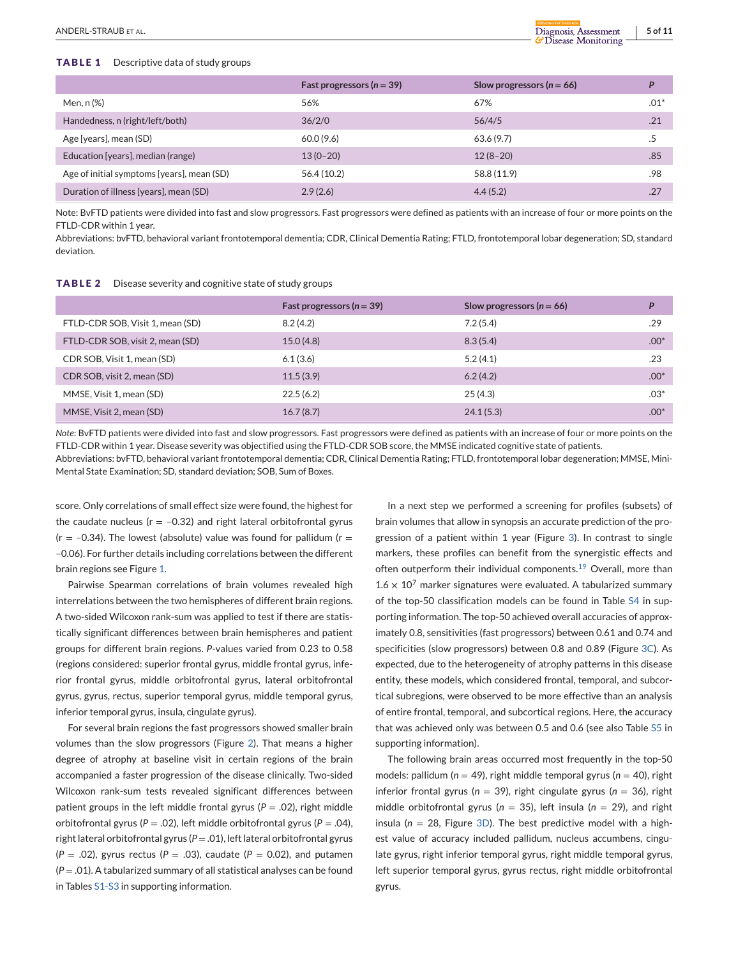#### <span id="page-4-0"></span>**TABLE 1** Descriptive data of study groups

|                                            | Fast progressors $(n = 39)$ | Slow progressors $(n = 66)$ | D      |
|--------------------------------------------|-----------------------------|-----------------------------|--------|
| Men, n (%)                                 | 56%                         | 67%                         | $.01*$ |
| Handedness, n (right/left/both)            | 36/2/0                      | 56/4/5                      | .21    |
| Age [years], mean (SD)                     | 60.0(9.6)                   | 63.6(9.7)                   |        |
| Education [years], median (range)          | $13(0-20)$                  | $12(8-20)$                  | .85    |
| Age of initial symptoms [years], mean (SD) | 56.4(10.2)                  | 58.8 (11.9)                 | .98    |
| Duration of illness [years], mean (SD)     | 2.9(2.6)                    | 4.4(5.2)                    | .27    |

Note: BvFTD patients were divided into fast and slow progressors. Fast progressors were defined as patients with an increase of four or more points on the FTLD-CDR within 1 year.

Abbreviations: bvFTD, behavioral variant frontotemporal dementia; CDR, Clinical Dementia Rating; FTLD, frontotemporal lobar degeneration; SD, standard deviation.

|                                  | Fast progressors ( $n = 39$ ) | Slow progressors $(n = 66)$ | P      |
|----------------------------------|-------------------------------|-----------------------------|--------|
| FTLD-CDR SOB, Visit 1, mean (SD) | 8.2(4.2)                      | 7.2(5.4)                    | .29    |
| FTLD-CDR SOB, visit 2, mean (SD) | 15.0(4.8)                     | 8.3(5.4)                    | $.00*$ |
| CDR SOB, Visit 1, mean (SD)      | 6.1(3.6)                      | 5.2(4.1)                    | .23    |
| CDR SOB, visit 2, mean (SD)      | 11.5(3.9)                     | 6.2(4.2)                    | $.00*$ |
| MMSE, Visit 1, mean (SD)         | 22.5(6.2)                     | 25(4.3)                     | $.03*$ |
| MMSE, Visit 2, mean (SD)         | 16.7(8.7)                     | 24.1(5.3)                   | $.00*$ |

*Note*: BvFTD patients were divided into fast and slow progressors. Fast progressors were defined as patients with an increase of four or more points on the FTLD-CDR within 1 year. Disease severity was objectified using the FTLD-CDR SOB score, the MMSE indicated cognitive state of patients.

Abbreviations: bvFTD, behavioral variant frontotemporal dementia; CDR, Clinical Dementia Rating; FTLD, frontotemporal lobar degeneration; MMSE, Mini-Mental State Examination; SD, standard deviation; SOB, Sum of Boxes.

score. Only correlations of small effect size were found, the highest for the caudate nucleus ( $r = -0.32$ ) and right lateral orbitofrontal gyrus  $(r = -0.34)$ . The lowest (absolute) value was found for pallidum (r = –0.06). For further details including correlations between the different brain regions see Figure [1.](#page-5-0)

Pairwise Spearman correlations of brain volumes revealed high interrelations between the two hemispheres of different brain regions. A two-sided Wilcoxon rank-sum was applied to test if there are statistically significant differences between brain hemispheres and patient groups for different brain regions. *P*-values varied from 0.23 to 0.58 (regions considered: superior frontal gyrus, middle frontal gyrus, inferior frontal gyrus, middle orbitofrontal gyrus, lateral orbitofrontal gyrus, gyrus, rectus, superior temporal gyrus, middle temporal gyrus, inferior temporal gyrus, insula, cingulate gyrus).

For several brain regions the fast progressors showed smaller brain volumes than the slow progressors (Figure [2\)](#page-6-0). That means a higher degree of atrophy at baseline visit in certain regions of the brain accompanied a faster progression of the disease clinically. Two-sided Wilcoxon rank-sum tests revealed significant differences between patient groups in the left middle frontal gyrus ( $P = .02$ ), right middle orbitofrontal gyrus (*P* = .02), left middle orbitofrontal gyrus (*P* = .04), right lateral orbitofrontal gyrus (*P* = .01), left lateral orbitofrontal gyrus  $(P = .02)$ , gyrus rectus  $(P = .03)$ , caudate  $(P = 0.02)$ , and putamen (*P* = .01). A tabularized summary of all statistical analyses can be found in Tables S1-S3 in supporting information.

In a next step we performed a screening for profiles (subsets) of brain volumes that allow in synopsis an accurate prediction of the progression of a patient within 1 year (Figure [3\)](#page-7-0). In contrast to single markers, these profiles can benefit from the synergistic effects and often outperform their individual components.<sup>[19](#page-9-0)</sup> Overall, more than  $1.6 \times 10^{7}$  marker signatures were evaluated. A tabularized summary of the top-50 classification models can be found in Table S4 in supporting information. The top-50 achieved overall accuracies of approximately 0.8, sensitivities (fast progressors) between 0.61 and 0.74 and specificities (slow progressors) between 0.8 and 0.89 (Figure [3C\)](#page-7-0). As expected, due to the heterogeneity of atrophy patterns in this disease entity, these models, which considered frontal, temporal, and subcortical subregions, were observed to be more effective than an analysis of entire frontal, temporal, and subcortical regions. Here, the accuracy that was achieved only was between 0.5 and 0.6 (see also Table S5 in supporting information).

The following brain areas occurred most frequently in the top-50 models: pallidum (*n* = 49), right middle temporal gyrus (*n* = 40), right inferior frontal gyrus (*n* = 39), right cingulate gyrus (*n* = 36), right middle orbitofrontal gyrus ( $n = 35$ ), left insula ( $n = 29$ ), and right insula (*n* = 28, Figure [3D\)](#page-7-0). The best predictive model with a highest value of accuracy included pallidum, nucleus accumbens, cingulate gyrus, right inferior temporal gyrus, right middle temporal gyrus, left superior temporal gyrus, gyrus rectus, right middle orbitofrontal gyrus.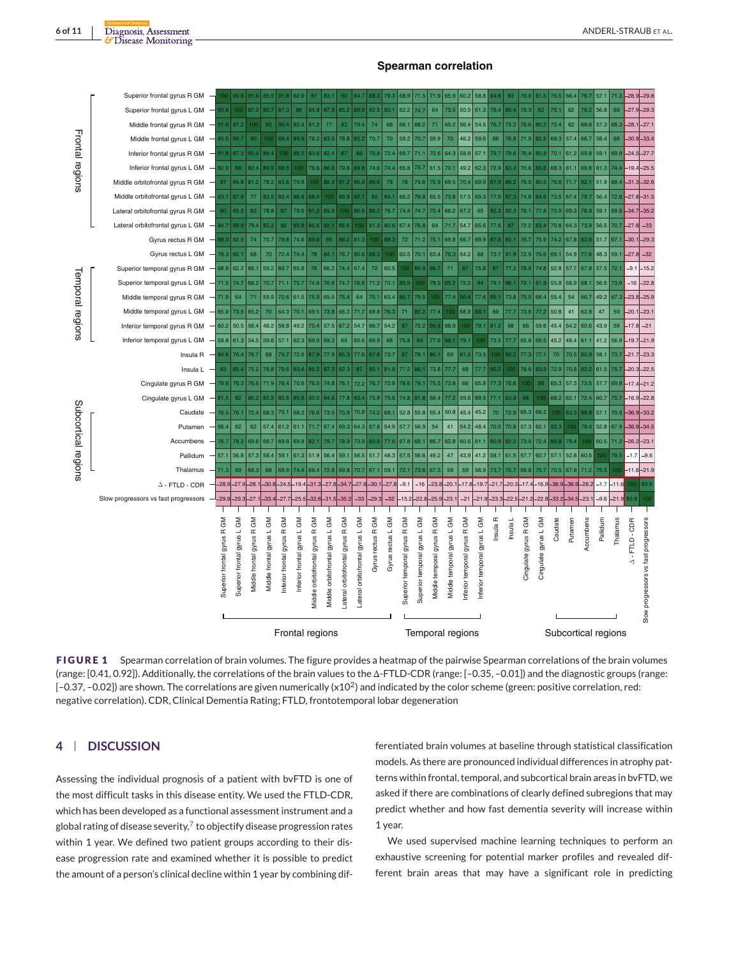#### <span id="page-5-0"></span>Superior frontal gyrus R GM 90.8 91.6 85.5 91.8 82.9 87 83.1 90 84.7 88.3 79.3 68.9 71.5 71.9 65.9 60.2 58.8 84.6 83 79.6 81.5 76.5 66.4 76.7 57.1 71.3 28.9 29.8 Superior frontal gyrus L GM 90.8 100 87.2 90.7 87.3 84.8 87.9 85.2 89.9 82.5 82.1 62.2 74.7 64 73.5 50.5 61.3 76.4 85.4 76.3 82 76.1 62 78.2 56.8 69 27.9 29.3 .<br>54. s Middle frontal gyrus R GM 91.6 87.2 90 90.4 82.4 81.2 77 83 79.4 68 66.1 68.2 65.2 56.4 76.7 75.2 76.6 80.2 62 69.6 57.3 68.3 28.1 74 71 72.4 27.1 Frontal regions Frontal regionsMiddle frontal gyrus L GM 57.4 85.5 90.7 90 88.4 89.9 78.2 83.5 78.8 85.2 70.7 70 59.2 70.7 59.9 70 46.2 59.6 68 76.8 71.9 82.5 68.3 66.7 58.4 68 30.8 33.4 Inferior frontal gyrus R GM 91.8 87.3 90.4 88.4 88.5 83.6 82.4 87 86 79.8 72.4 69.7 71.1 70.6 64.3 58.8 57.1 79.7 79.6 76.4 80.8 70.1 61.2 69.8 59.1 69.9 24.5 27.7 Inferior frontal gyrus L GM  $-10$ 82.9 88 82.4 89.9 88.5 79.8 86.8 79.6 89.8 74.6 74.4 65.8 75.7 61.5 70.1 49.2 62.3 72.9 83.4 70.6 85.6 68.3 61.1 69.8 61.3 74.4 25.5 Middle orbitofrontal gyrus R GM 87 84.8 81.2 78.2 83.6 79.8 88.9 91.2 86.6 89.6 78 76 74.6 75.9 69.5 70.4 69.9 87.9 86.2 76.5 80.5 76.6 71.7 82.1 51.9 68.4 31.3 32.6 Middle orbitofrontal gyrus L GM 83.1 87.9 77 83.5 82.4 86.8 88.9 100 85.9 92.1 85 84.1 66.2 76.8 65.5 73.8 57.5 69.3 77.9 87.3 74.8 84.6 73.5 67.4 79.7 56.4 72.8 27.8 31.5 Lateral orbitofrontal gyrus R GM 90 85.2 83 78.8 87 79.6 91.2 85.9 86.6 88.2 76.7 74.4 74.7 75.4 66.2 67.2 65 85.3 82.3 76.1 77.8 75.9 69.3 78.9 59.1 69.8 34.7 35.2 Lateral orbitofrontal gyrus L GM 84.7 89.9 79.4 85.2 86 89.8 86.6 92.1 86.6 81.3 80.6 67.4 76.8 64 71.7 54.7 65.6 77.6 87 72.2 83.4 70.8 64.3 73.9 56.5 70.7 27.8 33 Gyrus rectus R GM 88.3 82.5 74 70.7 79.8 74.6 89.6 85 88.2 81.3 100 88.3 72 71.2 75.1 69.8 66.7 69.9 87.6 85.1 76.7 75.9 74.2 67.8 83.6 51.7 67.1 30.1 29.3 Gyrus rectus L GM 54.C 54. C 79.3 82.1 68 70 72.4 74.4 78 84.1 76.7 80.6 88.3 60.5 70.1 63.4 76.3 68 73.7 81.9 72.9 75.6 69.1 77.6 48.3 59.1 27.8 32 Superior temporal gyrus R GM 68.9 62.2 66.1 59.2 69.7 65.8 76 66.2 67.4 60.5 85.9 86.7 87 75.8 87 78.6 74.8 52.8 57.7 67.8 57.5 9.1 15.2 Temporal regions Temporal regions74.4 72 71 77.2 72.1 Superior temporal gyrus L GM 71.5 74.7 68.2 70.7 71.1 75.7 74.6 76.8 74.7 76.8 71.2 70.1 85.9 79.5 85.2 75.2 84 79.1 86.1 79.1 81.8 55.8 56.9 68.1 56.6 73.6 16 22.8 Middle temporal gyrus R GM 71.9 64 71 59.9 70.6 61.5 75.9 65.5 75.4 64 75.1 63.4 86.7 79.5 77.4 90.4 77.6 86.1 73.8 75.5 68.4 55.4 54 66.7 49.2 67.3 23.8 25.9 Middle temporal gyrus L GM  $\overline{41}$ 65.9 73.5 65.2 70 64.3 70.1 69.5 73.8 66.2 71.7 69.8 76.3 71 85.2 77.4 68.9 88.1 69 77.7 73.8 77.2 50.8 62.8 47 59 20.1 23.1 Inferior temporal gyrus R GM 21 60.2 50.5 56.4 46.2 58.8 49.2 70.4 57.5 67.2 54.7 66.7 54.2 87 75.2 90.4 68.9 100 79.1 81.2 68 66 59.6 45.4 54.2 60.6 43.9 59 17.8 Inferior temporal gyrus L GM 45.2 48.4 41.2  $19.79$  $21.91$ 58.8 61.3 54.5 59.6 57.1 62.3 69.9 69.3 65 65.6 69.9 68 75.8 84 77.6 88.1 79.1 73.5 77.7 65.8 69.5 61.1 56.9 Insula R 84.6 76.4 76.7 68 79.7 72.9 87.9 77.9 85.3 77.6 87.6 73.7 87 79.1 86.1 69 81.2 73.5 100 90.2 77.3 77.1 70 70.5 80.9 58.1 73.7 21.7 23.3 Insula L 83 85.4 75.2 76.8 79.6 83.4 86.2 87.3 82.3 87 85.1 81.9 77.2 86.1 73.8 77.7 68 77.7 90.2 76.6 83.9 72.9 70.8 82.2 61.5 75.7 20.3 22.5 Cingulate gyrus R GM 79.6 76.3 76.6 71.9 76.4 70.6 76.5 74.8 76.1 72.2 76.7 72.9 78.6 79.1 75.5 73.8 66 65.8 77.3 76.6 100 65.3 57.3 73.5 57.7 69.8 17.4 21.2 Cingulate gyrus L GM 81.5 82 80.2 82.5 80.8 85.6 80.5 84.6 77.8 83.4 75.9 75.6 74.8 81.8 68.4 77.2 59.6 69.5 77.1 83.9 88 68.2 62.1 72.4 60.7 75.7 16.9 22.8 Subcortical regions Subcortical regions Caudate 76.5 76.1 68.3 70.1 68.3 76.6 73.5 75.9 70.8 74.2 69.1 52.8 55.8 55.4 50.8 45.4 45.2 70 72.9 65.3 68.2 100 83.3 88.8 57.1 70.5 36.9 33.2 72.4 Putamen 41 54.C 48.4 66.4 62 62 57.4 61.2 61.1 71.7 67.4 69.3 64.3 67.8 54.9 57.7 56.9 54 70.5 70.8 57.3 62.1 83.3 79.4 52.8 67.9 36.9 34.5 Accumbens 76.7 78.2 69.6 66.7 69.8 69.8 82.1 79.7 78.9 73.9 83.6 77.6 67.8 68.1 66.7 62.8 60.6 61.1 80.9 82.2 73.5 72.4 88.8 79.4 100 60.5 71.2 26.2 23.1 Pallidum 51.9 47 43.9 41<sup>.</sup> 57.1 56.8 57.3 58.4 59.1 61.3 56.4 59.1 56.5 51.7 48.3 57.5 56.6 49.2 58.1 61.5 57.7 60.7 57.1 52.8 60.5 100 79.5 1.7 9.6 Thalamus 71.3 69 68.3 68 69.9 74.4 68.4 72.8 69.8 70.7 67.1 59.1 72.1 73.6 67.3 59 59 56.9 73.7 75.7 69.8 75.7 70.5 67.9 71.2 79.5 100 11.6 21.9 27.9  $24.5$ 19.4  $31.3$  $a<sup>1</sup>$  $-16$ <sub>17</sub>  $-17.$  $\overline{1}$  $\overline{2}$ 34.7  $30.$ 27  $23.8$  $\sim$ 19  $\Delta$  - FTLD - CDR 28.9 28.1 27.8 27.8 21.7 20.3 16.9 36.9 36.9 26.2 1.7 83.9 15.2 Slow progressors vs fast progressors 29.3 29.3 29.8 27.1 33.4 27.7 25.5 32.6 31.5 35.2 33 32 22.8 25.9 23.1 21 21.9 23.3 22.5 21.2 22.8 33.2 34.5 23.1 9.6 21.9 83.9 100 Insula L L GM R GM L GM Insula R Cingulate gyrus R GM Pallidum R GM Superior frontal gyrus L GM gyrus R GM Middle frontal gyrus L GM gyrus R GM frontal gyrus L GM gyrus R GM **GM** Gyrus rectus R GM temporal gyrus R GM temporal gyrus L GM temporal gyrus R GM temporal gyrus L GM gyrus R GM temporal gyrus L GM Cingulate gyrus L GM Caudate Putamen Accumbens Thalamus FTLD-CDR essors vs fast progressors Superior frontal gyrus R GM Superior frontal gyrus L GM Middle frontal gyrus R GM Middle frontal gyrus L GM Inferior frontal gyrus R GM Inferior frontal gyrus L GM Middle orbitofrontal gyrus R GM Middle orbitofrontal gyrus L GM Lateral orbitofrontal gyrus R GM Lateral orbitofrontal gyrus L GM Gyrus rectus R GM Gyrus rectus L GM Superior temporal gyrus R GM Superior temporal gyrus L GM Middle temporal gyrus R GM Middle temporal gyrus L GM Inferior temporal gyrus R GM Inferior temporal gyrus L GM Cingulate gyrus R GM Cingulate gyrus L GM Accumbens Thalamus - FTLD - CDR Diff. score Slow progressors vs fast progressors gyrus F gyrus F rectus I Middle orbitofrontal gyrus orbitofrontal gyrus frontal frontal Gyrus r Superior frontal Viiddle orbitofrontal ateral orbitofrontal temporal ΔMiddle f nferior nterior Superior Superior Middle Middle nferior nferior Lateral progre  $rac{8}{20}$ Frontal regions Temporal regions Subcortical regions

### **Spearman correlation**

**FIGURE 1** Spearman correlation of brain volumes. The figure provides a heatmap of the pairwise Spearman correlations of the brain volumes (range: [0.41, 0.92]). Additionally, the correlations of the brain values to the Δ-FTLD-CDR (range: [–0.35, –0.01]) and the diagnostic groups (range: [-0.37, -0.02]) are shown. The correlations are given numerically (x10<sup>2</sup>) and indicated by the color scheme (green: positive correlation, red: negative correlation). CDR, Clinical Dementia Rating; FTLD, frontotemporal lobar degeneration

# **4 DISCUSSION**

Assessing the individual prognosis of a patient with bvFTD is one of the most difficult tasks in this disease entity. We used the FTLD-CDR, which has been developed as a functional assessment instrument and a global rating of disease severity, $7$  to objectify disease progression rates within 1 year. We defined two patient groups according to their disease progression rate and examined whether it is possible to predict the amount of a person's clinical decline within 1 year by combining differentiated brain volumes at baseline through statistical classification models. As there are pronounced individual differences in atrophy patterns within frontal, temporal, and subcortical brain areas in bvFTD, we asked if there are combinations of clearly defined subregions that may predict whether and how fast dementia severity will increase within 1 year.

We used supervised machine learning techniques to perform an exhaustive screening for potential marker profiles and revealed different brain areas that may have a significant role in predicting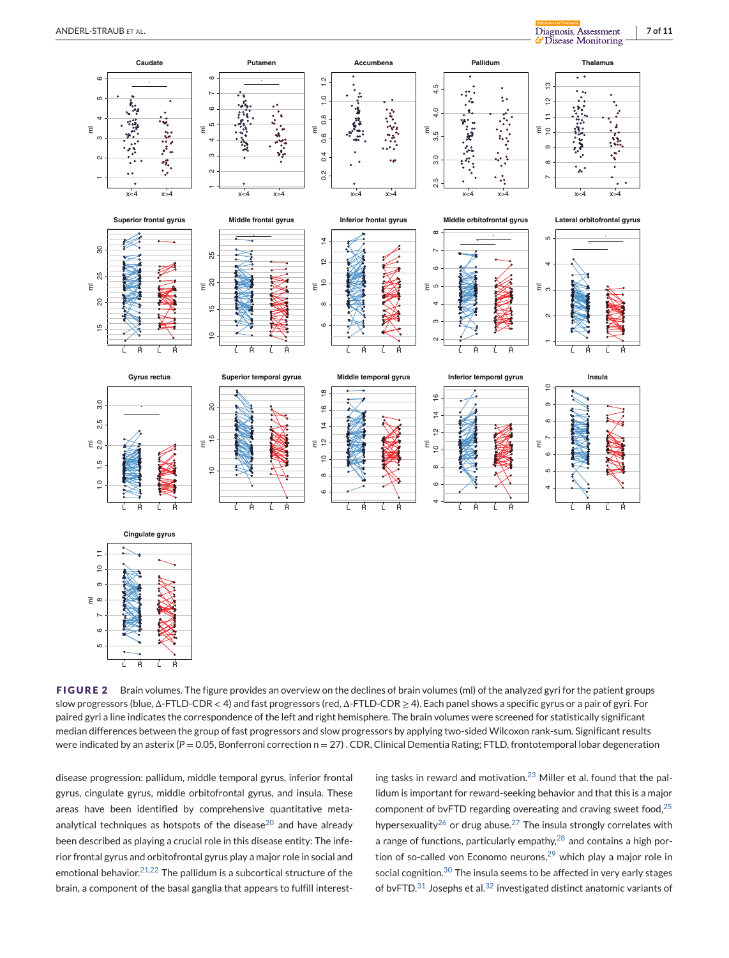<span id="page-6-0"></span>

**FIGURE 2** Brain volumes. The figure provides an overview on the declines of brain volumes (ml) of the analyzed gyri for the patient groups slow progressors (blue, Δ-FTLD-CDR < 4) and fast progressors (red, Δ-FTLD-CDR ≥ 4). Each panel shows a specific gyrus or a pair of gyri. For paired gyri a line indicates the correspondence of the left and right hemisphere. The brain volumes were screened for statistically significant median differences between the group of fast progressors and slow progressors by applying two-sided Wilcoxon rank-sum. Significant results were indicated by an asterix ( $P = 0.05$ , Bonferroni correction  $n = 27$ ). CDR, Clinical Dementia Rating; FTLD, frontotemporal lobar degeneration

disease progression: pallidum, middle temporal gyrus, inferior frontal gyrus, cingulate gyrus, middle orbitofrontal gyrus, and insula. These areas have been identified by comprehensive quantitative metaanalytical techniques as hotspots of the disease $20$  and have already been described as playing a crucial role in this disease entity: The inferior frontal gyrus and orbitofrontal gyrus play a major role in social and emotional behavior. $21,22$  The pallidum is a subcortical structure of the brain, a component of the basal ganglia that appears to fulfill interesting tasks in reward and motivation.[23](#page-9-0) Miller et al. found that the pallidum is important for reward-seeking behavior and that this is a major component of bvFTD regarding overeating and craving sweet food, $25$ hypersexuality<sup>[26](#page-9-0)</sup> or drug abuse.<sup>[27](#page-9-0)</sup> The insula strongly correlates with a range of functions, particularly empathy, $28$  and contains a high portion of so-called von Economo neurons, $29$  which play a major role in social cognition.<sup>[30](#page-9-0)</sup> The insula seems to be affected in very early stages of bvFTD. $31$  Josephs et al. $32$  investigated distinct anatomic variants of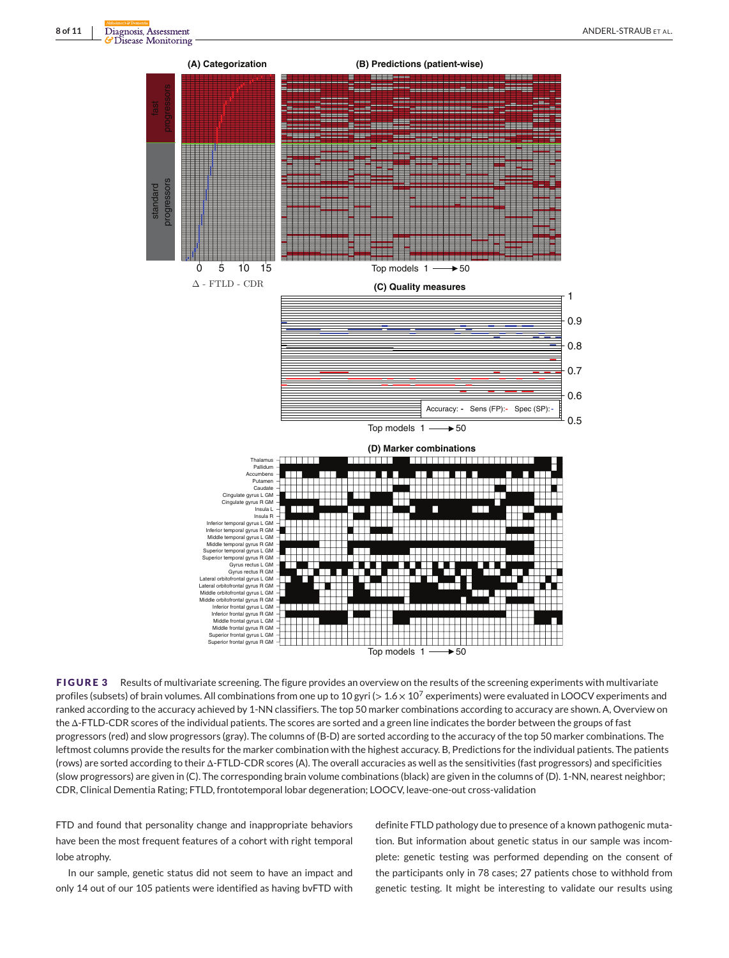<span id="page-7-0"></span>

**FIGURE 3** Results of multivariate screening. The figure provides an overview on the results of the screening experiments with multivariate profiles (subsets) of brain volumes. All combinations from one up to 10 gyri ( $> 1.6 \times 10^7$  experiments) were evaluated in LOOCV experiments and ranked according to the accuracy achieved by 1-NN classifiers. The top 50 marker combinations according to accuracy are shown. A, Overview on the Δ-FTLD-CDR scores of the individual patients. The scores are sorted and a green line indicates the border between the groups of fast progressors (red) and slow progressors (gray). The columns of (B-D) are sorted according to the accuracy of the top 50 marker combinations. The leftmost columns provide the results for the marker combination with the highest accuracy. B, Predictions for the individual patients. The patients (rows) are sorted according to their Δ-FTLD-CDR scores (A). The overall accuracies as well as the sensitivities (fast progressors) and specificities (slow progressors) are given in (C). The corresponding brain volume combinations (black) are given in the columns of (D). 1-NN, nearest neighbor; CDR, Clinical Dementia Rating; FTLD, frontotemporal lobar degeneration; LOOCV, leave-one-out cross-validation

FTD and found that personality change and inappropriate behaviors have been the most frequent features of a cohort with right temporal lobe atrophy.

In our sample, genetic status did not seem to have an impact and only 14 out of our 105 patients were identified as having bvFTD with definite FTLD pathology due to presence of a known pathogenic mutation. But information about genetic status in our sample was incomplete: genetic testing was performed depending on the consent of the participants only in 78 cases; 27 patients chose to withhold from genetic testing. It might be interesting to validate our results using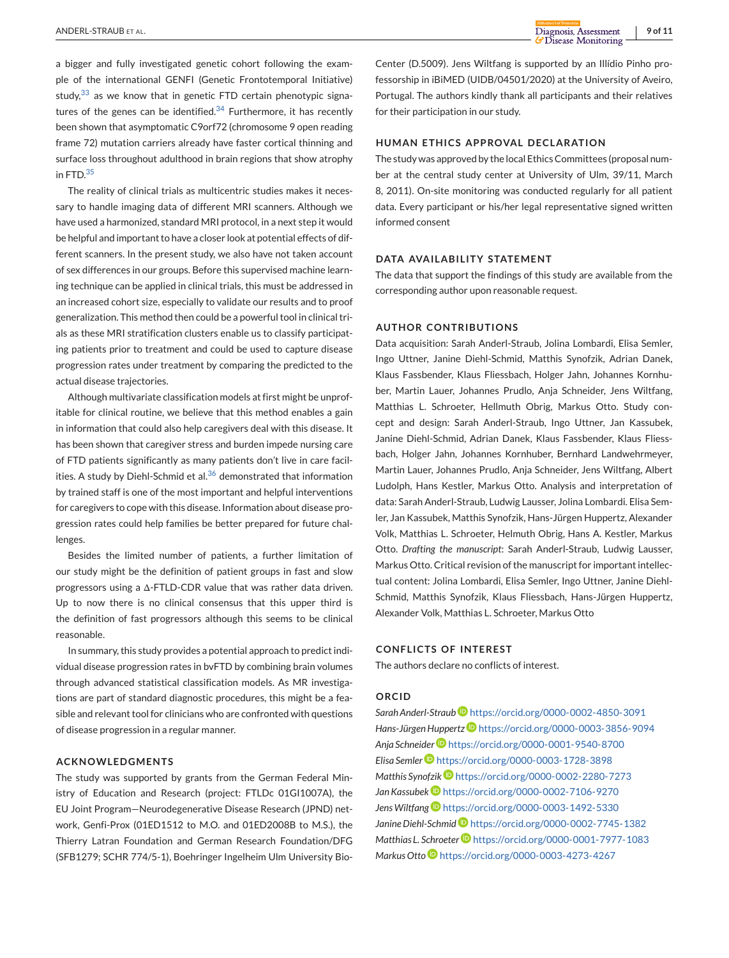a bigger and fully investigated genetic cohort following the example of the international GENFI (Genetic Frontotemporal Initiative) study,  $33$  as we know that in genetic FTD certain phenotypic signatures of the genes can be identified. $34$  Furthermore, it has recently been shown that asymptomatic C9orf72 (chromosome 9 open reading frame 72) mutation carriers already have faster cortical thinning and surface loss throughout adulthood in brain regions that show atrophy in  $FTD<sup>35</sup>$  $FTD<sup>35</sup>$  $FTD<sup>35</sup>$ 

The reality of clinical trials as multicentric studies makes it necessary to handle imaging data of different MRI scanners. Although we have used a harmonized, standard MRI protocol, in a next step it would be helpful and important to have a closer look at potential effects of different scanners. In the present study, we also have not taken account of sex differences in our groups. Before this supervised machine learning technique can be applied in clinical trials, this must be addressed in an increased cohort size, especially to validate our results and to proof generalization. This method then could be a powerful tool in clinical trials as these MRI stratification clusters enable us to classify participating patients prior to treatment and could be used to capture disease progression rates under treatment by comparing the predicted to the actual disease trajectories.

Although multivariate classification models at first might be unprofitable for clinical routine, we believe that this method enables a gain in information that could also help caregivers deal with this disease. It has been shown that caregiver stress and burden impede nursing care of FTD patients significantly as many patients don't live in care facil-ities. A study by Diehl-Schmid et al.<sup>[36](#page-9-0)</sup> demonstrated that information by trained staff is one of the most important and helpful interventions for caregivers to cope with this disease. Information about disease progression rates could help families be better prepared for future challenges.

Besides the limited number of patients, a further limitation of our study might be the definition of patient groups in fast and slow progressors using a Δ-FTLD-CDR value that was rather data driven. Up to now there is no clinical consensus that this upper third is the definition of fast progressors although this seems to be clinical reasonable.

In summary, this study provides a potential approach to predict individual disease progression rates in bvFTD by combining brain volumes through advanced statistical classification models. As MR investigations are part of standard diagnostic procedures, this might be a feasible and relevant tool for clinicians who are confronted with questions of disease progression in a regular manner.

#### **ACKNOWLEDGMENTS**

The study was supported by grants from the German Federal Ministry of Education and Research (project: FTLDc 01GI1007A), the EU Joint Program—Neurodegenerative Disease Research (JPND) network, Genfi-Prox (01ED1512 to M.O. and 01ED2008B to M.S.), the Thierry Latran Foundation and German Research Foundation/DFG (SFB1279; SCHR 774/5-1), Boehringer Ingelheim Ulm University BioCenter (D.5009). Jens Wiltfang is supported by an Illídio Pinho professorship in iBiMED (UIDB/04501/2020) at the University of Aveiro, Portugal. The authors kindly thank all participants and their relatives for their participation in our study.

# **HUMAN ETHICS APPROVAL DECLARATION**

The study was approved by the local Ethics Committees (proposal number at the central study center at University of Ulm, 39/11, March 8, 2011). On-site monitoring was conducted regularly for all patient data. Every participant or his/her legal representative signed written informed consent

# **DATA AVAILABILITY STATEMENT**

The data that support the findings of this study are available from the corresponding author upon reasonable request.

# **AUTHOR CONTRIBUTIONS**

Data acquisition: Sarah Anderl-Straub, Jolina Lombardi, Elisa Semler, Ingo Uttner, Janine Diehl-Schmid, Matthis Synofzik, Adrian Danek, Klaus Fassbender, Klaus Fliessbach, Holger Jahn, Johannes Kornhuber, Martin Lauer, Johannes Prudlo, Anja Schneider, Jens Wiltfang, Matthias L. Schroeter, Hellmuth Obrig, Markus Otto. Study concept and design: Sarah Anderl-Straub, Ingo Uttner, Jan Kassubek, Janine Diehl-Schmid, Adrian Danek, Klaus Fassbender, Klaus Fliessbach, Holger Jahn, Johannes Kornhuber, Bernhard Landwehrmeyer, Martin Lauer, Johannes Prudlo, Anja Schneider, Jens Wiltfang, Albert Ludolph, Hans Kestler, Markus Otto. Analysis and interpretation of data: Sarah Anderl-Straub, Ludwig Lausser, Jolina Lombardi. Elisa Semler, Jan Kassubek, Matthis Synofzik, Hans-Jürgen Huppertz, Alexander Volk, Matthias L. Schroeter, Helmuth Obrig, Hans A. Kestler, Markus Otto. *Drafting the manuscript*: Sarah Anderl-Straub, Ludwig Lausser, Markus Otto. Critical revision of the manuscript for important intellectual content: Jolina Lombardi, Elisa Semler, Ingo Uttner, Janine Diehl-Schmid, Matthis Synofzik, Klaus Fliessbach, Hans-Jürgen Huppertz, Alexander Volk, Matthias L. Schroeter, Markus Otto

# **CONFLICTS OF INTEREST**

The authors declare no conflicts of interest.

### **ORCID**

*Sarah Anderl-Straub* <https://orcid.org/0000-0002-4850-3091> Hans-Jürgen Huppertz<sup>1</sup> <https://orcid.org/0000-0003-3856-9094> *Anja Schneider* <https://orcid.org/0000-0001-9540-8700> *Elisa Semle[r](https://orcid.org/0000-0003-1728-3898)* <https://orcid.org/0000-0003-1728-3898> *Matthis Synofzik* <https://orcid.org/0000-0002-2280-7273> *Jan Kassubek* <https://orcid.org/0000-0002-7106-9270> *JensWiltfang* <https://orcid.org/0000-0003-1492-5330> *Janine Diehl-Schmid* <https://orcid.org/0000-0002-7745-1382> *Matthias L. Sch[r](https://orcid.org/0000-0001-7977-1083)oeter* **D** <https://orcid.org/0000-0001-7977-1083> *Markus Otto* <https://orcid.org/0000-0003-4273-4267>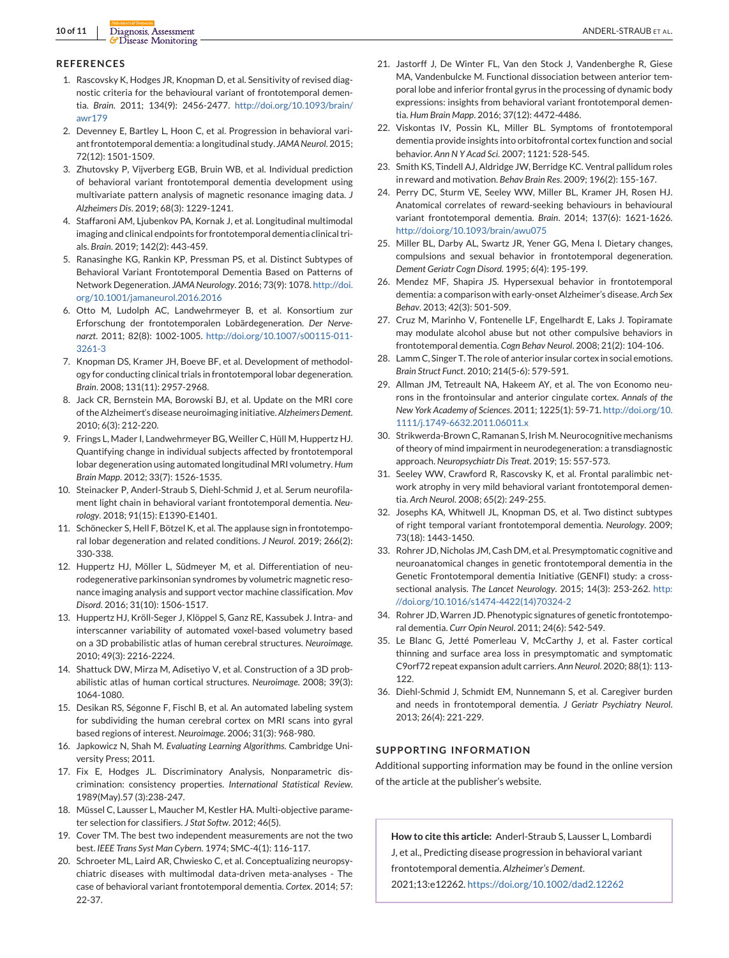#### <span id="page-9-0"></span>**REFERENCES**

- 1. Rascovsky K, Hodges JR, Knopman D, et al. Sensitivity of revised diagnostic criteria for the behavioural variant of frontotemporal dementia. *Brain*. 2011; 134(9): 2456-2477. [http://doi.org/10.1093/brain/](http://doi.org/10.1093/brain/awr179) [awr179](http://doi.org/10.1093/brain/awr179)
- 2. Devenney E, Bartley L, Hoon C, et al. Progression in behavioral variant frontotemporal dementia: a longitudinal study. *JAMA Neurol*. 2015; 72(12): 1501-1509.
- 3. Zhutovsky P, Vijverberg EGB, Bruin WB, et al. Individual prediction of behavioral variant frontotemporal dementia development using multivariate pattern analysis of magnetic resonance imaging data. *J Alzheimers Dis*. 2019; 68(3): 1229-1241.
- 4. Staffaroni AM, Ljubenkov PA, Kornak J, et al. Longitudinal multimodal imaging and clinical endpoints for frontotemporal dementia clinical trials. *Brain*. 2019; 142(2): 443-459.
- 5. Ranasinghe KG, Rankin KP, Pressman PS, et al. Distinct Subtypes of Behavioral Variant Frontotemporal Dementia Based on Patterns of Network Degeneration. *JAMA Neurology*. 2016; 73(9): 1078. [http://doi.](http://doi.org/10.1001/jamaneurol.2016.2016) [org/10.1001/jamaneurol.2016.2016](http://doi.org/10.1001/jamaneurol.2016.2016)
- 6. Otto M, Ludolph AC, Landwehrmeyer B, et al. Konsortium zur Erforschung der frontotemporalen Lobärdegeneration. *Der Nervenarzt*. 2011; 82(8): 1002-1005. [http://doi.org/10.1007/s00115-011-](http://doi.org/10.1007/s00115-011-3261-3) [3261-3](http://doi.org/10.1007/s00115-011-3261-3)
- 7. Knopman DS, Kramer JH, Boeve BF, et al. Development of methodology for conducting clinical trials in frontotemporal lobar degeneration. *Brain*. 2008; 131(11): 2957-2968.
- 8. Jack CR, Bernstein MA, Borowski BJ, et al. Update on the MRI core of the Alzheimert's disease neuroimaging initiative. *Alzheimers Dement*. 2010; 6(3): 212-220.
- 9. Frings L, Mader I, Landwehrmeyer BG, Weiller C, Hüll M, Huppertz HJ. Quantifying change in individual subjects affected by frontotemporal lobar degeneration using automated longitudinal MRI volumetry. *Hum Brain Mapp*. 2012; 33(7): 1526-1535.
- 10. Steinacker P, Anderl-Straub S, Diehl-Schmid J, et al. Serum neurofilament light chain in behavioral variant frontotemporal dementia. *Neurology*. 2018; 91(15): E1390-E1401.
- 11. Schönecker S, Hell F, Bötzel K, et al. The applause sign in frontotemporal lobar degeneration and related conditions. *J Neurol*. 2019; 266(2): 330-338.
- 12. Huppertz HJ, Möller L, Südmeyer M, et al. Differentiation of neurodegenerative parkinsonian syndromes by volumetric magnetic resonance imaging analysis and support vector machine classification. *Mov Disord*. 2016; 31(10): 1506-1517.
- 13. Huppertz HJ, Kröll-Seger J, Klöppel S, Ganz RE, Kassubek J. Intra- and interscanner variability of automated voxel-based volumetry based on a 3D probabilistic atlas of human cerebral structures. *Neuroimage*. 2010; 49(3): 2216-2224.
- 14. Shattuck DW, Mirza M, Adisetiyo V, et al. Construction of a 3D probabilistic atlas of human cortical structures. *Neuroimage*. 2008; 39(3): 1064-1080.
- 15. Desikan RS, Ségonne F, Fischl B, et al. An automated labeling system for subdividing the human cerebral cortex on MRI scans into gyral based regions of interest. *Neuroimage*. 2006; 31(3): 968-980.
- 16. Japkowicz N, Shah M. *Evaluating Learning Algorithms*. Cambridge University Press; 2011.
- 17. Fix E, Hodges JL. Discriminatory Analysis, Nonparametric discrimination: consistency properties. *International Statistical Review*. 1989(May).57 (3):238-247.
- 18. Müssel C, Lausser L, Maucher M, Kestler HA. Multi-objective parameter selection for classifiers. *J Stat Softw*. 2012; 46(5).
- 19. Cover TM. The best two independent measurements are not the two best. *IEEE Trans Syst Man Cybern*. 1974; SMC-4(1): 116-117.
- 20. Schroeter ML, Laird AR, Chwiesko C, et al. Conceptualizing neuropsychiatric diseases with multimodal data-driven meta-analyses - The case of behavioral variant frontotemporal dementia. *Cortex*. 2014; 57: 22-37.
- 21. Jastorff J, De Winter FL, Van den Stock J, Vandenberghe R, Giese MA, Vandenbulcke M. Functional dissociation between anterior temporal lobe and inferior frontal gyrus in the processing of dynamic body expressions: insights from behavioral variant frontotemporal dementia. *Hum Brain Mapp*. 2016; 37(12): 4472-4486.
- 22. Viskontas IV, Possin KL, Miller BL. Symptoms of frontotemporal dementia provide insights into orbitofrontal cortex function and social behavior. *Ann N Y Acad Sci*. 2007; 1121: 528-545.
- 23. Smith KS, Tindell AJ, Aldridge JW, Berridge KC. Ventral pallidum roles in reward and motivation. *Behav Brain Res*. 2009; 196(2): 155-167.
- 24. Perry DC, Sturm VE, Seeley WW, Miller BL, Kramer JH, Rosen HJ. Anatomical correlates of reward-seeking behaviours in behavioural variant frontotemporal dementia. *Brain*. 2014; 137(6): 1621-1626. <http://doi.org/10.1093/brain/awu075>
- 25. Miller BL, Darby AL, Swartz JR, Yener GG, Mena I. Dietary changes, compulsions and sexual behavior in frontotemporal degeneration. *Dement Geriatr Cogn Disord*. 1995; 6(4): 195-199.
- 26. Mendez MF, Shapira JS. Hypersexual behavior in frontotemporal dementia: a comparison with early-onset Alzheimer's disease. *Arch Sex Behav*. 2013; 42(3): 501-509.
- 27. Cruz M, Marinho V, Fontenelle LF, Engelhardt E, Laks J. Topiramate may modulate alcohol abuse but not other compulsive behaviors in frontotemporal dementia. *Cogn Behav Neurol*. 2008; 21(2): 104-106.
- 28. Lamm C, Singer T. The role of anterior insular cortex in social emotions. *Brain Struct Funct*. 2010; 214(5-6): 579-591.
- 29. Allman JM, Tetreault NA, Hakeem AY, et al. The von Economo neurons in the frontoinsular and anterior cingulate cortex. *Annals of the New York Academy of Sciences*. 2011; 1225(1): 59-71. [http://doi.org/10.](http://doi.org/10.1111/j.1749-6632.2011.06011.x) [1111/j.1749-6632.2011.06011.x](http://doi.org/10.1111/j.1749-6632.2011.06011.x)
- 30. Strikwerda-Brown C, Ramanan S, Irish M. Neurocognitive mechanisms of theory of mind impairment in neurodegeneration: a transdiagnostic approach. *Neuropsychiatr Dis Treat*. 2019; 15: 557-573.
- 31. Seeley WW, Crawford R, Rascovsky K, et al. Frontal paralimbic network atrophy in very mild behavioral variant frontotemporal dementia. *Arch Neurol*. 2008; 65(2): 249-255.
- 32. Josephs KA, Whitwell JL, Knopman DS, et al. Two distinct subtypes of right temporal variant frontotemporal dementia. *Neurology*. 2009; 73(18): 1443-1450.
- 33. Rohrer JD, Nicholas JM, Cash DM, et al. Presymptomatic cognitive and neuroanatomical changes in genetic frontotemporal dementia in the Genetic Frontotemporal dementia Initiative (GENFI) study: a crosssectional analysis. *The Lancet Neurology*. 2015; 14(3): 253-262. [http:](http://doi.org/10.1016/s1474-4422(14)70324-2) [//doi.org/10.1016/s1474-4422\(14\)70324-2](http://doi.org/10.1016/s1474-4422(14)70324-2)
- 34. Rohrer JD, Warren JD. Phenotypic signatures of genetic frontotemporal dementia. *Curr Opin Neurol*. 2011; 24(6): 542-549.
- 35. Le Blanc G, Jetté Pomerleau V, McCarthy J, et al. Faster cortical thinning and surface area loss in presymptomatic and symptomatic C9orf72 repeat expansion adult carriers. *Ann Neurol*. 2020; 88(1): 113- 122.
- 36. Diehl-Schmid J, Schmidt EM, Nunnemann S, et al. Caregiver burden and needs in frontotemporal dementia. *J Geriatr Psychiatry Neurol*. 2013; 26(4): 221-229.

#### **SUPPORTING INFORMATION**

Additional supporting information may be found in the online version of the article at the publisher's website.

**How to cite this article:** Anderl-Straub S, Lausser L, Lombardi J, et al., Predicting disease progression in behavioral variant frontotemporal dementia. *Alzheimer's Dement*.

2021;13:e12262. <https://doi.org/10.1002/dad2.12262>